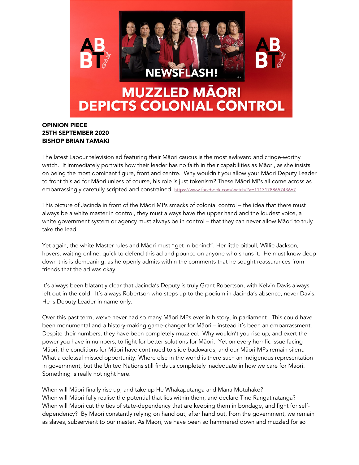

## OPINION PIECE 25TH SEPTEMBER 2020 BISHOP BRIAN TAMAKI

The latest Labour television ad featuring their Māori caucus is the most awkward and cringe-worthy watch. It immediately portraits how their leader has no faith in their capabilities as Māori, as she insists on being the most dominant figure, front and centre. Why wouldn't you allow your Māori Deputy Leader to front this ad for Māori unless of course, his role is just tokenism? These Māori MPs all come across as embarrassingly carefully scripted and constrained. https://www.facebook.com/watch/?v=1113178865743667

This picture of Jacinda in front of the Māori MPs smacks of colonial control – the idea that there must always be a white master in control, they must always have the upper hand and the loudest voice, a white government system or agency must always be in control – that they can never allow Māori to truly take the lead.

Yet again, the white Master rules and Māori must "get in behind". Her little pitbull, Willie Jackson, hovers, waiting online, quick to defend this ad and pounce on anyone who shuns it. He must know deep down this is demeaning, as he openly admits within the comments that he sought reassurances from friends that the ad was okay.

It's always been blatantly clear that Jacinda's Deputy is truly Grant Robertson, with Kelvin Davis always left out in the cold. It's always Robertson who steps up to the podium in Jacinda's absence, never Davis. He is Deputy Leader in name only.

Over this past term, we've never had so many Māori MPs ever in history, in parliament. This could have been monumental and a history-making game-changer for Māori – instead it's been an embarrassment. Despite their numbers, they have been completely muzzled. Why wouldn't you rise up, and exert the power you have in numbers, to fight for better solutions for Māori. Yet on every horrific issue facing Māori, the conditions for Māori have continued to slide backwards, and our Māori MPs remain silent. What a colossal missed opportunity. Where else in the world is there such an Indigenous representation in government, but the United Nations still finds us completely inadequate in how we care for Māori. Something is really not right here.

When will Māori finally rise up, and take up He Whakaputanga and Mana Motuhake? When will Māori fully realise the potential that lies within them, and declare Tino Rangatiratanga? When will Māori cut the ties of state-dependency that are keeping them in bondage, and fight for selfdependency? By Māori constantly relying on hand out, after hand out, from the government, we remain as slaves, subservient to our master. As Māori, we have been so hammered down and muzzled for so